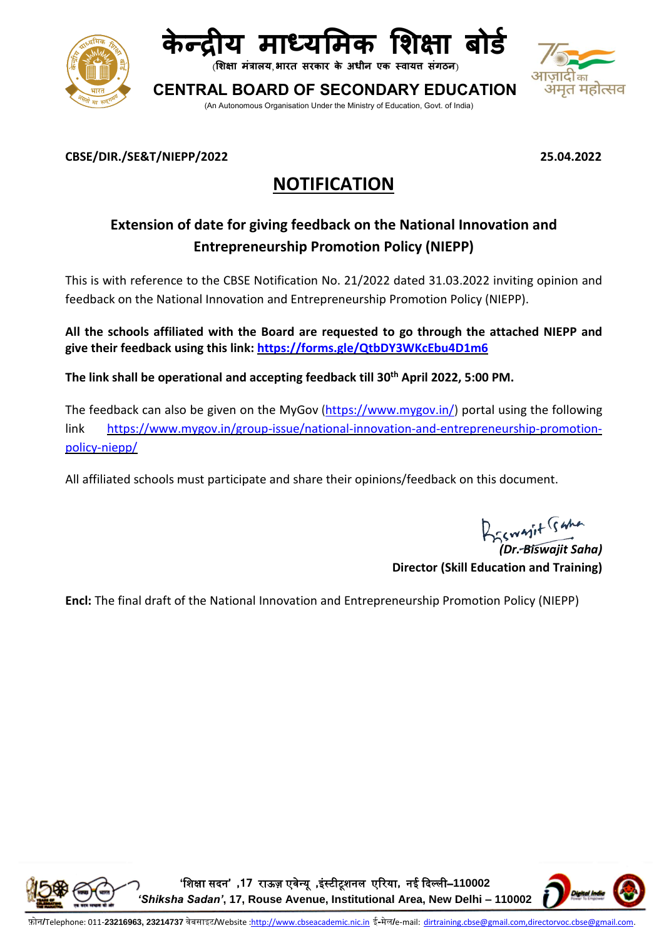



**शिक्षा मंत्रालय भारत सरकार के अधीन एक स्वायत्त संगठन**

मत महोत्सव

**CENTRAL BOARD OF SECONDARY EDUCATION**

(An Autonomous Organisation Under the Ministry of Education, Govt. of India)

### **CBSE/DIR./SE&T/NIEPP/2022 25.04.2022**

# **NOTIFICATION**

## **Extension of date for giving feedback on the National Innovation and Entrepreneurship Promotion Policy (NIEPP)**

This is with reference to the CBSE Notification No. 21/2022 dated 31.03.2022 inviting opinion and feedback on the National Innovation and Entrepreneurship Promotion Policy (NIEPP).

**All the schools affiliated with the Board are requested to go through the attached NIEPP and give their feedback using this link: <https://forms.gle/QtbDY3WKcEbu4D1m6>**

**The link shall be operational and accepting feedback till 30 th April 2022, 5:00 PM.**

The feedback can also be given on the MyGov [\(https://www.mygov.in/\)](https://www.mygov.in/) portal using the following link [https://www.mygov.in/group-issue/national-innovation-and-entrepreneurship-promotion](https://www.mygov.in/group-issue/national-innovation-and-entrepreneurship-promotion-policy-niepp/)[policy-niepp/](https://www.mygov.in/group-issue/national-innovation-and-entrepreneurship-promotion-policy-niepp/)

All affiliated schools must participate and share their opinions/feedback on this document.

BESWAIT Gama *(Dr. Biswajit Saha)*

**Director (Skill Education and Training)**

**Encl:** The final draft of the National Innovation and Entrepreneurship Promotion Policy (NIEPP)